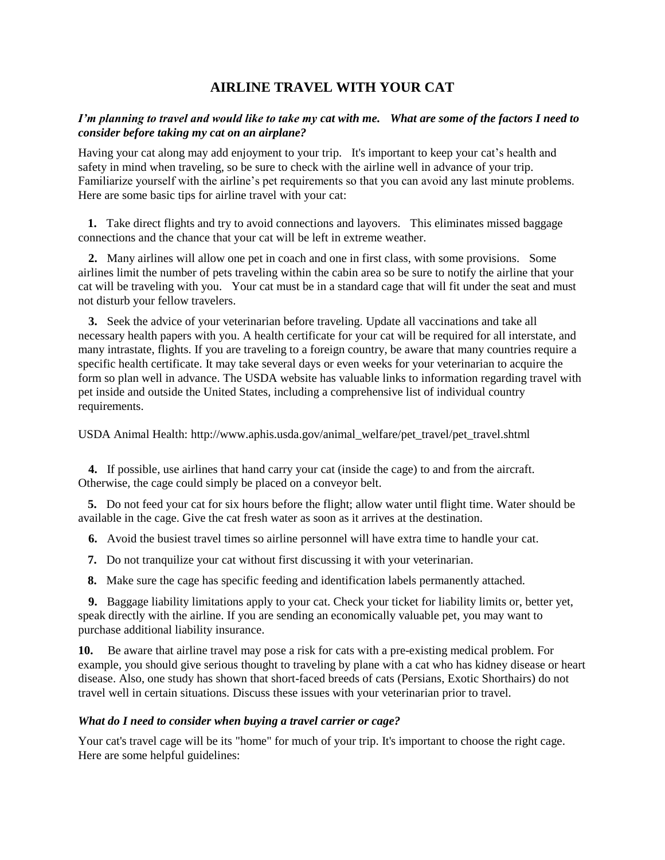# **AIRLINE TRAVEL WITH YOUR CAT**

# *I'm planning to travel and would like to take my cat with me. What are some of the factors I need to consider before taking my cat on an airplane?*

Having your cat along may add enjoyment to your trip. It's important to keep your cat's health and safety in mind when traveling, so be sure to check with the airline well in advance of your trip. Familiarize yourself with the airline's pet requirements so that you can avoid any last minute problems. Here are some basic tips for airline travel with your cat:

 **1.** Take direct flights and try to avoid connections and layovers. This eliminates missed baggage connections and the chance that your cat will be left in extreme weather.

 **2.** Many airlines will allow one pet in coach and one in first class, with some provisions. Some airlines limit the number of pets traveling within the cabin area so be sure to notify the airline that your cat will be traveling with you. Your cat must be in a standard cage that will fit under the seat and must not disturb your fellow travelers.

 **3.** Seek the advice of your veterinarian before traveling. Update all vaccinations and take all necessary health papers with you. A health certificate for your cat will be required for all interstate, and many intrastate, flights. If you are traveling to a foreign country, be aware that many countries require a specific health certificate. It may take several days or even weeks for your veterinarian to acquire the form so plan well in advance. The USDA website has valuable links to information regarding travel with pet inside and outside the United States, including a comprehensive list of individual country requirements.

USDA Animal Health: http://www.aphis.usda.gov/animal\_welfare/pet\_travel/pet\_travel.shtml

 **4.** If possible, use airlines that hand carry your cat (inside the cage) to and from the aircraft. Otherwise, the cage could simply be placed on a conveyor belt.

 **5.** Do not feed your cat for six hours before the flight; allow water until flight time. Water should be available in the cage. Give the cat fresh water as soon as it arrives at the destination.

 **6.** Avoid the busiest travel times so airline personnel will have extra time to handle your cat.

**7.** Do not tranquilize your cat without first discussing it with your veterinarian.

**8.** Make sure the cage has specific feeding and identification labels permanently attached.

 **9.** Baggage liability limitations apply to your cat. Check your ticket for liability limits or, better yet, speak directly with the airline. If you are sending an economically valuable pet, you may want to purchase additional liability insurance.

**10.** Be aware that airline travel may pose a risk for cats with a pre-existing medical problem. For example, you should give serious thought to traveling by plane with a cat who has kidney disease or heart disease. Also, one study has shown that short-faced breeds of cats (Persians, Exotic Shorthairs) do not travel well in certain situations. Discuss these issues with your veterinarian prior to travel.

### *What do I need to consider when buying a travel carrier or cage?*

Your cat's travel cage will be its "home" for much of your trip. It's important to choose the right cage. Here are some helpful guidelines: